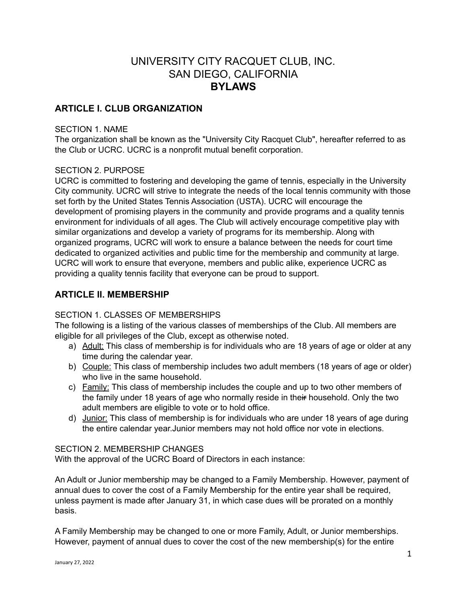# UNIVERSITY CITY RACQUET CLUB, INC. SAN DIEGO, CALIFORNIA **BYLAWS**

# **ARTICLE I. CLUB ORGANIZATION**

#### SECTION 1. NAME

The organization shall be known as the "University City Racquet Club", hereafter referred to as the Club or UCRC. UCRC is a nonprofit mutual benefit corporation.

### SECTION 2. PURPOSE

UCRC is committed to fostering and developing the game of tennis, especially in the University City community. UCRC will strive to integrate the needs of the local tennis community with those set forth by the United States Tennis Association (USTA). UCRC will encourage the development of promising players in the community and provide programs and a quality tennis environment for individuals of all ages. The Club will actively encourage competitive play with similar organizations and develop a variety of programs for its membership. Along with organized programs, UCRC will work to ensure a balance between the needs for court time dedicated to organized activities and public time for the membership and community at large. UCRC will work to ensure that everyone, members and public alike, experience UCRC as providing a quality tennis facility that everyone can be proud to support.

## **ARTICLE II. MEMBERSHIP**

### SECTION 1. CLASSES OF MEMBERSHIPS

The following is a listing of the various classes of memberships of the Club. All members are eligible for all privileges of the Club, except as otherwise noted.

- a) Adult: This class of membership is for individuals who are 18 years of age or older at any time during the calendar year.
- b) Couple: This class of membership includes two adult members (18 years of age or older) who live in the same household.
- c) Family: This class of membership includes the couple and up to two other members of the family under 18 years of age who normally reside in their household. Only the two adult members are eligible to vote or to hold office.
- d) Junior: This class of membership is for individuals who are under 18 years of age during the entire calendar year.Junior members may not hold office nor vote in elections.

#### SECTION 2. MEMBERSHIP CHANGES

With the approval of the UCRC Board of Directors in each instance:

An Adult or Junior membership may be changed to a Family Membership. However, payment of annual dues to cover the cost of a Family Membership for the entire year shall be required, unless payment is made after January 31, in which case dues will be prorated on a monthly basis.

A Family Membership may be changed to one or more Family, Adult, or Junior memberships. However, payment of annual dues to cover the cost of the new membership(s) for the entire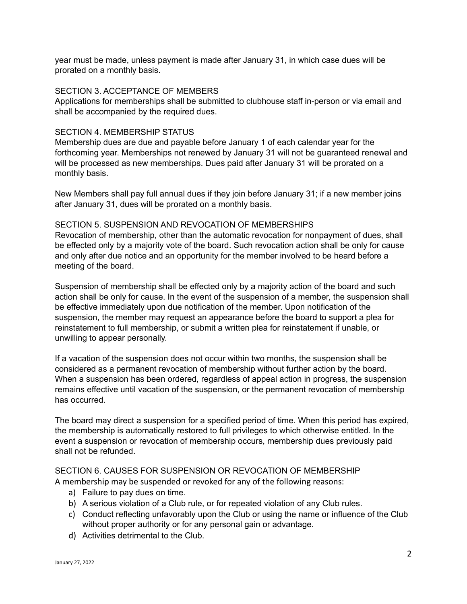year must be made, unless payment is made after January 31, in which case dues will be prorated on a monthly basis.

#### SECTION 3. ACCEPTANCE OF MEMBERS

Applications for memberships shall be submitted to clubhouse staff in-person or via email and shall be accompanied by the required dues.

#### SECTION 4. MEMBERSHIP STATUS

Membership dues are due and payable before January 1 of each calendar year for the forthcoming year. Memberships not renewed by January 31 will not be guaranteed renewal and will be processed as new memberships. Dues paid after January 31 will be prorated on a monthly basis.

New Members shall pay full annual dues if they join before January 31; if a new member joins after January 31, dues will be prorated on a monthly basis.

#### SECTION 5. SUSPENSION AND REVOCATION OF MEMBERSHIPS

Revocation of membership, other than the automatic revocation for nonpayment of dues, shall be effected only by a majority vote of the board. Such revocation action shall be only for cause and only after due notice and an opportunity for the member involved to be heard before a meeting of the board.

Suspension of membership shall be effected only by a majority action of the board and such action shall be only for cause. In the event of the suspension of a member, the suspension shall be effective immediately upon due notification of the member. Upon notification of the suspension, the member may request an appearance before the board to support a plea for reinstatement to full membership, or submit a written plea for reinstatement if unable, or unwilling to appear personally.

If a vacation of the suspension does not occur within two months, the suspension shall be considered as a permanent revocation of membership without further action by the board. When a suspension has been ordered, regardless of appeal action in progress, the suspension remains effective until vacation of the suspension, or the permanent revocation of membership has occurred.

The board may direct a suspension for a specified period of time. When this period has expired, the membership is automatically restored to full privileges to which otherwise entitled. In the event a suspension or revocation of membership occurs, membership dues previously paid shall not be refunded.

### SECTION 6. CAUSES FOR SUSPENSION OR REVOCATION OF MEMBERSHIP A membership may be suspended or revoked for any of the following reasons:

- a) Failure to pay dues on time.
- b) A serious violation of a Club rule, or for repeated violation of any Club rules.
- c) Conduct reflecting unfavorably upon the Club or using the name or influence of the Club without proper authority or for any personal gain or advantage.
- d) Activities detrimental to the Club.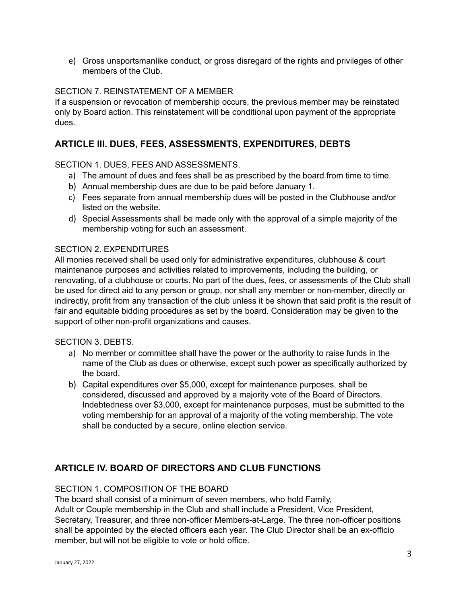e) Gross unsportsmanlike conduct, or gross disregard of the rights and privileges of other members of the Club.

### SECTION 7. REINSTATEMENT OF A MEMBER

If a suspension or revocation of membership occurs, the previous member may be reinstated only by Board action. This reinstatement will be conditional upon payment of the appropriate dues.

# **ARTICLE Ill. DUES, FEES, ASSESSMENTS, EXPENDITURES, DEBTS**

### SECTION 1. DUES, FEES AND ASSESSMENTS.

- a) The amount of dues and fees shall be as prescribed by the board from time to time.
- b) Annual membership dues are due to be paid before January 1.
- c) Fees separate from annual membership dues will be posted in the Clubhouse and/or listed on the website.
- d) Special Assessments shall be made only with the approval of a simple majority of the membership voting for such an assessment.

#### SECTION 2. EXPENDITURES

All monies received shall be used only for administrative expenditures, clubhouse & court maintenance purposes and activities related to improvements, including the building, or renovating, of a clubhouse or courts. No part of the dues, fees, or assessments of the Club shall be used for direct aid to any person or group, nor shall any member or non-member, directly or indirectly, profit from any transaction of the club unless it be shown that said profit is the result of fair and equitable bidding procedures as set by the board. Consideration may be given to the support of other non-profit organizations and causes.

#### SECTION 3. DEBTS.

- a) No member or committee shall have the power or the authority to raise funds in the name of the Club as dues or otherwise, except such power as specifically authorized by the board.
- b) Capital expenditures over \$5,000, except for maintenance purposes, shall be considered, discussed and approved by a majority vote of the Board of Directors. Indebtedness over \$3,000, except for maintenance purposes, must be submitted to the voting membership for an approval of a majority of the voting membership. The vote shall be conducted by a secure, online election service.

# **ARTICLE IV. BOARD OF DIRECTORS AND CLUB FUNCTIONS**

#### SECTION 1. COMPOSITION OF THE BOARD

The board shall consist of a minimum of seven members, who hold Family, Adult or Couple membership in the Club and shall include a President, Vice President, Secretary, Treasurer, and three non-officer Members-at-Large. The three non-officer positions shall be appointed by the elected officers each year. The Club Director shall be an ex-officio member, but will not be eligible to vote or hold office.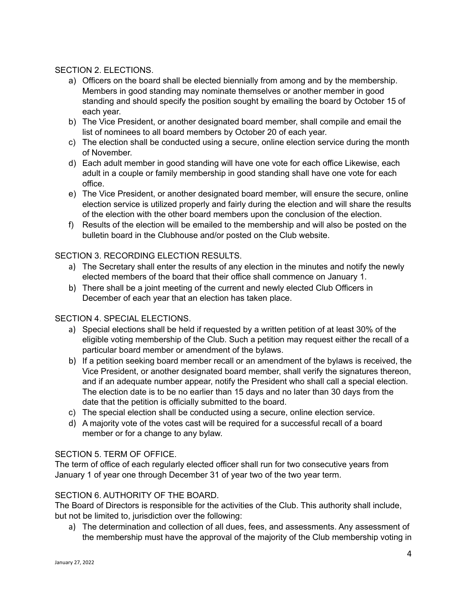### SECTION 2. ELECTIONS.

- a) Officers on the board shall be elected biennially from among and by the membership. Members in good standing may nominate themselves or another member in good standing and should specify the position sought by emailing the board by October 15 of each year.
- b) The Vice President, or another designated board member, shall compile and email the list of nominees to all board members by October 20 of each year.
- c) The election shall be conducted using a secure, online election service during the month of November.
- d) Each adult member in good standing will have one vote for each office Likewise, each adult in a couple or family membership in good standing shall have one vote for each office.
- e) The Vice President, or another designated board member, will ensure the secure, online election service is utilized properly and fairly during the election and will share the results of the election with the other board members upon the conclusion of the election.
- f) Results of the election will be emailed to the membership and will also be posted on the bulletin board in the Clubhouse and/or posted on the Club website.

## SECTION 3. RECORDING ELECTION RESULTS.

- a) The Secretary shall enter the results of any election in the minutes and notify the newly elected members of the board that their office shall commence on January 1.
- b) There shall be a joint meeting of the current and newly elected Club Officers in December of each year that an election has taken place.

### SECTION 4. SPECIAL ELECTIONS.

- a) Special elections shall be held if requested by a written petition of at least 30% of the eligible voting membership of the Club. Such a petition may request either the recall of a particular board member or amendment of the bylaws.
- b) If a petition seeking board member recall or an amendment of the bylaws is received, the Vice President, or another designated board member, shall verify the signatures thereon, and if an adequate number appear, notify the President who shall call a special election. The election date is to be no earlier than 15 days and no later than 30 days from the date that the petition is officially submitted to the board.
- c) The special election shall be conducted using a secure, online election service.
- d) A majority vote of the votes cast will be required for a successful recall of a board member or for a change to any bylaw.

### SECTION 5. TERM OF OFFICE.

The term of office of each regularly elected officer shall run for two consecutive years from January 1 of year one through December 31 of year two of the two year term.

### SECTION 6. AUTHORITY OF THE BOARD.

The Board of Directors is responsible for the activities of the Club. This authority shall include, but not be limited to, jurisdiction over the following:

a) The determination and collection of all dues, fees, and assessments. Any assessment of the membership must have the approval of the majority of the Club membership voting in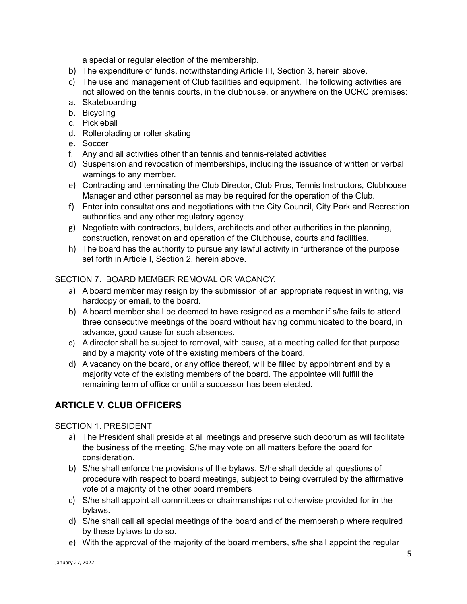a special or regular election of the membership.

- b) The expenditure of funds, notwithstanding Article III, Section 3, herein above.
- c) The use and management of Club facilities and equipment. The following activities are not allowed on the tennis courts, in the clubhouse, or anywhere on the UCRC premises:
- a. Skateboarding
- b. Bicycling
- c. Pickleball
- d. Rollerblading or roller skating
- e. Soccer
- f. Any and all activities other than tennis and tennis-related activities
- d) Suspension and revocation of memberships, including the issuance of written or verbal warnings to any member.
- e) Contracting and terminating the Club Director, Club Pros, Tennis Instructors, Clubhouse Manager and other personnel as may be required for the operation of the Club.
- f) Enter into consultations and negotiations with the City Council, City Park and Recreation authorities and any other regulatory agency.
- g) Negotiate with contractors, builders, architects and other authorities in the planning, construction, renovation and operation of the Clubhouse, courts and facilities.
- h) The board has the authority to pursue any lawful activity in furtherance of the purpose set forth in Article I, Section 2, herein above.

### SECTION 7. BOARD MEMBER REMOVAL OR VACANCY.

- a) A board member may resign by the submission of an appropriate request in writing, via hardcopy or email, to the board.
- b) A board member shall be deemed to have resigned as a member if s/he fails to attend three consecutive meetings of the board without having communicated to the board, in advance, good cause for such absences.
- c) A director shall be subject to removal, with cause, at a meeting called for that purpose and by a majority vote of the existing members of the board.
- d) A vacancy on the board, or any office thereof, will be filled by appointment and by a majority vote of the existing members of the board. The appointee will fulfill the remaining term of office or until a successor has been elected.

# **ARTICLE V. CLUB OFFICERS**

### SECTION 1. PRESIDENT

- a) The President shall preside at all meetings and preserve such decorum as will facilitate the business of the meeting. S/he may vote on all matters before the board for consideration.
- b) S/he shall enforce the provisions of the bylaws. S/he shall decide all questions of procedure with respect to board meetings, subject to being overruled by the affirmative vote of a majority of the other board members
- c) S/he shall appoint all committees or chairmanships not otherwise provided for in the bylaws.
- d) S/he shall call all special meetings of the board and of the membership where required by these bylaws to do so.
- e) With the approval of the majority of the board members, s/he shall appoint the regular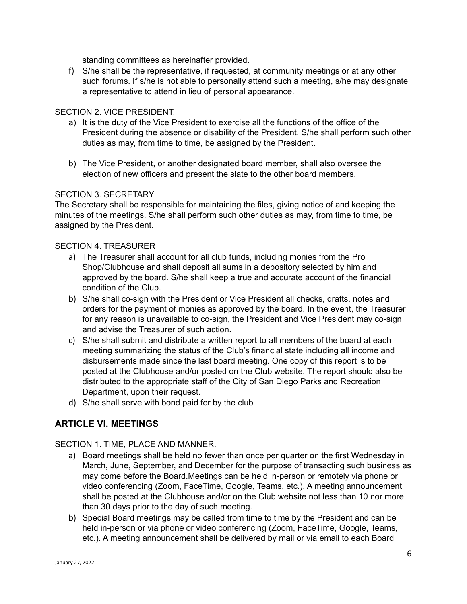standing committees as hereinafter provided.

f) S/he shall be the representative, if requested, at community meetings or at any other such forums. If s/he is not able to personally attend such a meeting, s/he may designate a representative to attend in lieu of personal appearance.

### SECTION 2. VICE PRESIDENT.

- a) It is the duty of the Vice President to exercise all the functions of the office of the President during the absence or disability of the President. S/he shall perform such other duties as may, from time to time, be assigned by the President.
- b) The Vice President, or another designated board member, shall also oversee the election of new officers and present the slate to the other board members.

### SECTION 3. SECRETARY

The Secretary shall be responsible for maintaining the files, giving notice of and keeping the minutes of the meetings. S/he shall perform such other duties as may, from time to time, be assigned by the President.

### SECTION 4. TREASURER

- a) The Treasurer shall account for all club funds, including monies from the Pro Shop/Clubhouse and shall deposit all sums in a depository selected by him and approved by the board. S/he shall keep a true and accurate account of the financial condition of the Club.
- b) S/he shall co-sign with the President or Vice President all checks, drafts, notes and orders for the payment of monies as approved by the board. In the event, the Treasurer for any reason is unavailable to co-sign, the President and Vice President may co-sign and advise the Treasurer of such action.
- c) S/he shall submit and distribute a written report to all members of the board at each meeting summarizing the status of the Club's financial state including all income and disbursements made since the last board meeting. One copy of this report is to be posted at the Clubhouse and/or posted on the Club website. The report should also be distributed to the appropriate staff of the City of San Diego Parks and Recreation Department, upon their request.
- d) S/he shall serve with bond paid for by the club

# **ARTICLE VI. MEETINGS**

SECTION 1. TIME, PLACE AND MANNER.

- a) Board meetings shall be held no fewer than once per quarter on the first Wednesday in March, June, September, and December for the purpose of transacting such business as may come before the Board.Meetings can be held in-person or remotely via phone or video conferencing (Zoom, FaceTime, Google, Teams, etc.). A meeting announcement shall be posted at the Clubhouse and/or on the Club website not less than 10 nor more than 30 days prior to the day of such meeting.
- b) Special Board meetings may be called from time to time by the President and can be held in-person or via phone or video conferencing (Zoom, FaceTime, Google, Teams, etc.). A meeting announcement shall be delivered by mail or via email to each Board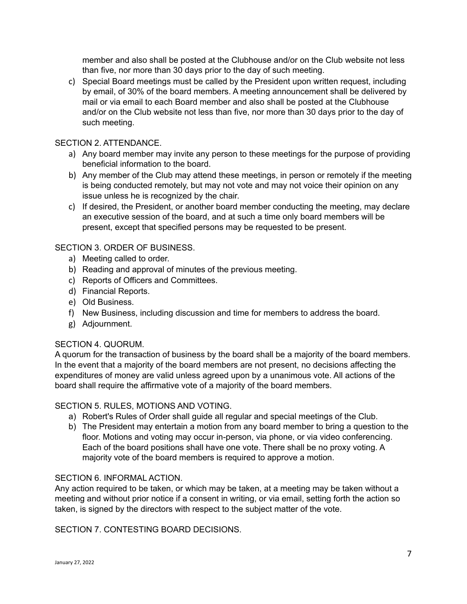member and also shall be posted at the Clubhouse and/or on the Club website not less than five, nor more than 30 days prior to the day of such meeting.

c) Special Board meetings must be called by the President upon written request, including by email, of 30% of the board members. A meeting announcement shall be delivered by mail or via email to each Board member and also shall be posted at the Clubhouse and/or on the Club website not less than five, nor more than 30 days prior to the day of such meeting.

### SECTION 2. ATTENDANCE.

- a) Any board member may invite any person to these meetings for the purpose of providing beneficial information to the board.
- b) Any member of the Club may attend these meetings, in person or remotely if the meeting is being conducted remotely, but may not vote and may not voice their opinion on any issue unless he is recognized by the chair.
- c) If desired, the President, or another board member conducting the meeting, may declare an executive session of the board, and at such a time only board members will be present, except that specified persons may be requested to be present.

## SECTION 3. ORDER OF BUSINESS.

- a) Meeting called to order.
- b) Reading and approval of minutes of the previous meeting.
- c) Reports of Officers and Committees.
- d) Financial Reports.
- e) Old Business.
- f) New Business, including discussion and time for members to address the board.
- g) Adjournment.

### SECTION 4. QUORUM.

A quorum for the transaction of business by the board shall be a majority of the board members. In the event that a majority of the board members are not present, no decisions affecting the expenditures of money are valid unless agreed upon by a unanimous vote. All actions of the board shall require the affirmative vote of a majority of the board members.

### SECTION 5. RULES, MOTIONS AND VOTING.

- a) Robert's Rules of Order shall guide all regular and special meetings of the Club.
- b) The President may entertain a motion from any board member to bring a question to the floor. Motions and voting may occur in-person, via phone, or via video conferencing. Each of the board positions shall have one vote. There shall be no proxy voting. A majority vote of the board members is required to approve a motion.

#### SECTION 6. INFORMAL ACTION.

Any action required to be taken, or which may be taken, at a meeting may be taken without a meeting and without prior notice if a consent in writing, or via email, setting forth the action so taken, is signed by the directors with respect to the subject matter of the vote.

SECTION 7. CONTESTING BOARD DECISIONS.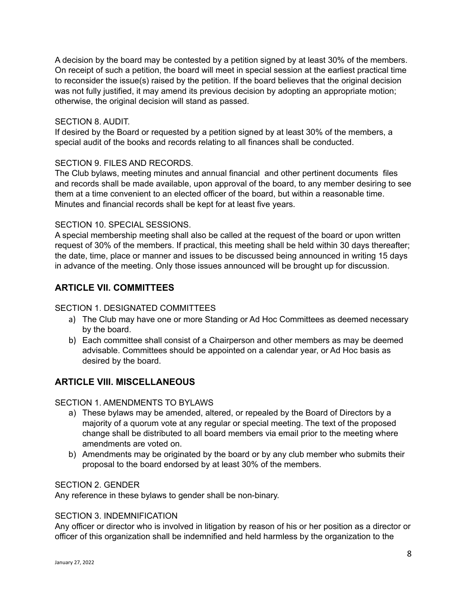A decision by the board may be contested by a petition signed by at least 30% of the members. On receipt of such a petition, the board will meet in special session at the earliest practical time to reconsider the issue(s) raised by the petition. If the board believes that the original decision was not fully justified, it may amend its previous decision by adopting an appropriate motion; otherwise, the original decision will stand as passed.

### SECTION 8. AUDIT.

If desired by the Board or requested by a petition signed by at least 30% of the members, a special audit of the books and records relating to all finances shall be conducted.

### SECTION 9. FILES AND RECORDS.

The Club bylaws, meeting minutes and annual financial and other pertinent documents files and records shall be made available, upon approval of the board, to any member desiring to see them at a time convenient to an elected officer of the board, but within a reasonable time. Minutes and financial records shall be kept for at least five years.

### SECTION 10. SPECIAL SESSIONS.

A special membership meeting shall also be called at the request of the board or upon written request of 30% of the members. If practical, this meeting shall be held within 30 days thereafter; the date, time, place or manner and issues to be discussed being announced in writing 15 days in advance of the meeting. Only those issues announced will be brought up for discussion.

# **ARTICLE VII. COMMITTEES**

### SECTION 1. DESIGNATED COMMITTEES

- a) The Club may have one or more Standing or Ad Hoc Committees as deemed necessary by the board.
- b) Each committee shall consist of a Chairperson and other members as may be deemed advisable. Committees should be appointed on a calendar year, or Ad Hoc basis as desired by the board.

# **ARTICLE VIII. MISCELLANEOUS**

### SECTION 1. AMENDMENTS TO BYLAWS

- a) These bylaws may be amended, altered, or repealed by the Board of Directors by a majority of a quorum vote at any regular or special meeting. The text of the proposed change shall be distributed to all board members via email prior to the meeting where amendments are voted on.
- b) Amendments may be originated by the board or by any club member who submits their proposal to the board endorsed by at least 30% of the members.

#### SECTION 2. GENDER

Any reference in these bylaws to gender shall be non-binary.

### SECTION 3. INDEMNIFICATION

Any officer or director who is involved in litigation by reason of his or her position as a director or officer of this organization shall be indemnified and held harmless by the organization to the